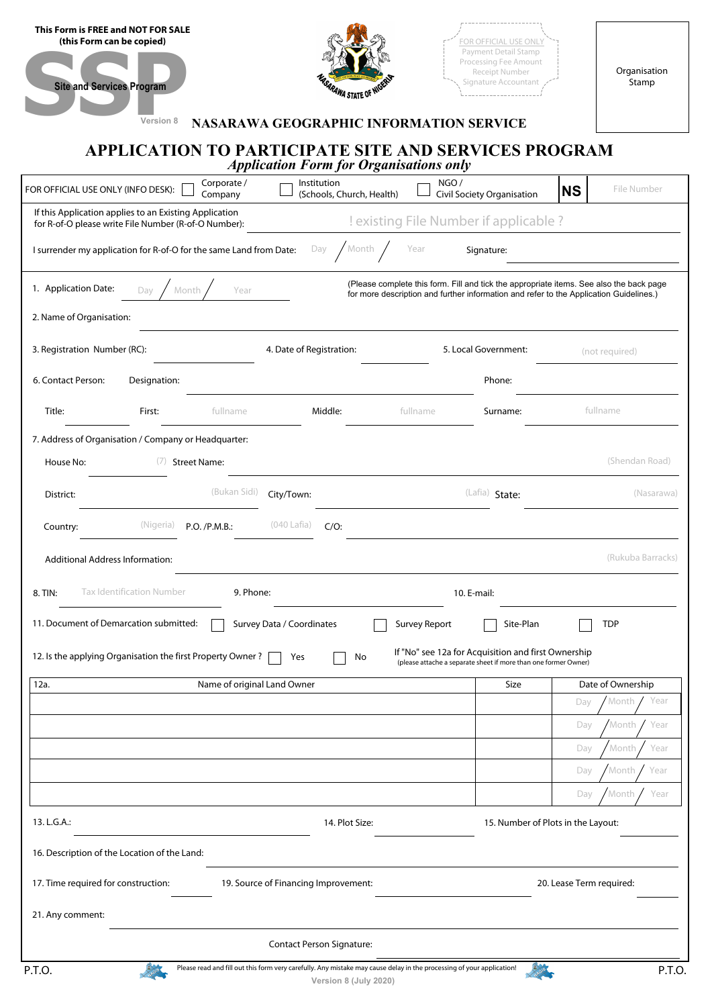| This Form is FREE and NOT FOR SALE<br>(this Form can be copied)<br><b>Site and Services Program</b><br>Version 8 | SARAWA STATE OF NU<br><b>NASARAWA GEOGRAPHIC INFORMATION SERVICE</b>                                                  |                      | FOR OFFICIAL USE ONLY<br><b>Payment Detail Stamp</b><br>Processing Fee Amount<br>Receipt Number<br>Signature Accountant                                                           |           | Organisation<br>Stamp |  |  |  |
|------------------------------------------------------------------------------------------------------------------|-----------------------------------------------------------------------------------------------------------------------|----------------------|-----------------------------------------------------------------------------------------------------------------------------------------------------------------------------------|-----------|-----------------------|--|--|--|
| APPLICATION TO PARTICIPATE SITE AND SERVICES PROGRAM<br><b>Application Form for Organisations only</b>           |                                                                                                                       |                      |                                                                                                                                                                                   |           |                       |  |  |  |
| Corporate /<br>FOR OFFICIAL USE ONLY (INFO DESK):<br>Company                                                     | Institution<br>(Schools, Church, Health)                                                                              | NGO/                 | Civil Society Organisation                                                                                                                                                        | <b>NS</b> | File Number           |  |  |  |
| If this Application applies to an Existing Application<br>for R-of-O please write File Number (R-of-O Number):   |                                                                                                                       |                      | ! existing File Number if applicable ?                                                                                                                                            |           |                       |  |  |  |
| I surrender my application for R-of-O for the same Land from Date:                                               | Month<br>Day                                                                                                          | Year                 | Signature:                                                                                                                                                                        |           |                       |  |  |  |
| 1. Application Date:<br>Month<br>Year<br>Day<br>2. Name of Organisation:                                         |                                                                                                                       |                      | (Please complete this form. Fill and tick the appropriate items. See also the back page<br>for more description and further information and refer to the Application Guidelines.) |           |                       |  |  |  |
| 3. Registration Number (RC):                                                                                     | 4. Date of Registration:                                                                                              |                      | 5. Local Government:                                                                                                                                                              |           | (not required)        |  |  |  |
| 6. Contact Person:<br>Designation:                                                                               |                                                                                                                       |                      | Phone:                                                                                                                                                                            |           |                       |  |  |  |
| Title:<br>First:<br>fullname                                                                                     | Middle:                                                                                                               | fullname             | Surname:                                                                                                                                                                          |           | fullname              |  |  |  |
| 7. Address of Organisation / Company or Headquarter:<br>House No:<br>(7) Street Name:                            |                                                                                                                       |                      |                                                                                                                                                                                   |           | (Shendan Road)        |  |  |  |
| (Bukan Sidi)<br>District:                                                                                        | City/Town:                                                                                                            |                      | (Lafia) State:                                                                                                                                                                    |           | (Nasarawa)            |  |  |  |
| (Nigeria)<br>Country:<br>P.O. / P.M.B.:                                                                          | (040 Lafia)<br>$C/O$ :                                                                                                |                      |                                                                                                                                                                                   |           |                       |  |  |  |
| Additional Address Information:                                                                                  |                                                                                                                       |                      |                                                                                                                                                                                   |           | (Rukuba Barracks)     |  |  |  |
| <b>Tax Identification Number</b><br>8. TIN:                                                                      | 9. Phone:                                                                                                             |                      | 10. E-mail:                                                                                                                                                                       |           |                       |  |  |  |
| 11. Document of Demarcation submitted:                                                                           | Survey Data / Coordinates                                                                                             | <b>Survey Report</b> | Site-Plan                                                                                                                                                                         |           | <b>TDP</b>            |  |  |  |
| 12. Is the applying Organisation the first Property Owner?                                                       | Yes<br>No                                                                                                             |                      | If "No" see 12a for Acquisition and first Ownership<br>(please attache a separate sheet if more than one former Owner)                                                            |           |                       |  |  |  |
| 12a.                                                                                                             | Name of original Land Owner                                                                                           |                      | <b>Size</b>                                                                                                                                                                       |           | Date of Ownership     |  |  |  |
|                                                                                                                  |                                                                                                                       |                      |                                                                                                                                                                                   | Day       | Month<br>Year         |  |  |  |
|                                                                                                                  |                                                                                                                       |                      |                                                                                                                                                                                   | Day       | Month<br>Year         |  |  |  |
|                                                                                                                  |                                                                                                                       |                      |                                                                                                                                                                                   | Day       | Month<br>Year         |  |  |  |
|                                                                                                                  |                                                                                                                       |                      |                                                                                                                                                                                   | Day       | Month<br>Year         |  |  |  |
|                                                                                                                  |                                                                                                                       |                      |                                                                                                                                                                                   | Day       | Month<br>Year         |  |  |  |
| 13. L.G.A.:                                                                                                      | 14. Plot Size:                                                                                                        |                      | 15. Number of Plots in the Layout:                                                                                                                                                |           |                       |  |  |  |
| 16. Description of the Location of the Land:                                                                     |                                                                                                                       |                      |                                                                                                                                                                                   |           |                       |  |  |  |
| 17. Time required for construction:                                                                              | 19. Source of Financing Improvement:                                                                                  |                      | 20. Lease Term required:                                                                                                                                                          |           |                       |  |  |  |
| 21. Any comment:                                                                                                 |                                                                                                                       |                      |                                                                                                                                                                                   |           |                       |  |  |  |
|                                                                                                                  | <b>Contact Person Signature:</b>                                                                                      |                      |                                                                                                                                                                                   |           |                       |  |  |  |
| P.T.O.                                                                                                           | Please read and fill out this form very carefully. Any mistake may cause delay in the processing of your application! |                      |                                                                                                                                                                                   |           | P.T.O.                |  |  |  |